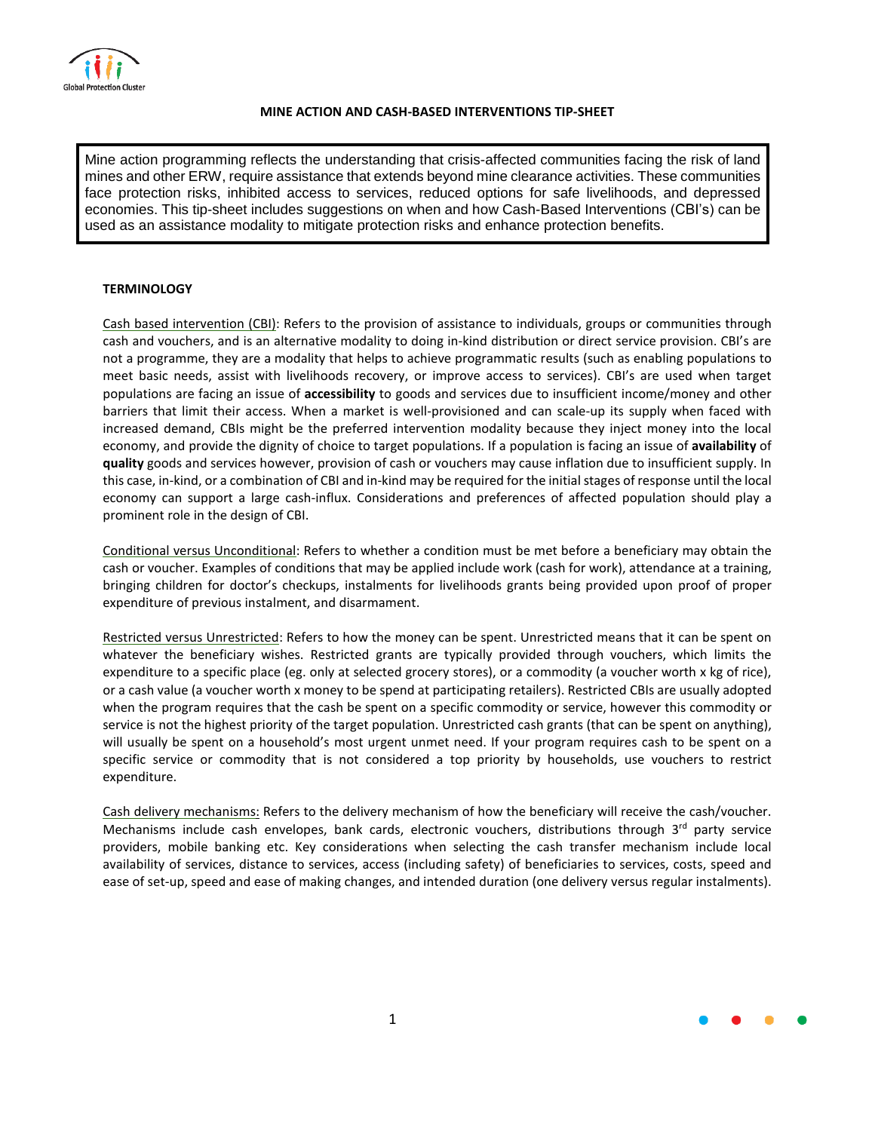

## **MINE ACTION AND CASH-BASED INTERVENTIONS TIP-SHEET**

Mine action programming reflects the understanding that crisis-affected communities facing the risk of land mines and other ERW, require assistance that extends beyond mine clearance activities. These communities face protection risks, inhibited access to services, reduced options for safe livelihoods, and depressed economies. This tip-sheet includes suggestions on when and how Cash-Based Interventions (CBI's) can be used as an assistance modality to mitigate protection risks and enhance protection benefits.

## **TERMINOLOGY**

Cash based intervention (CBI): Refers to the provision of assistance to individuals, groups or communities through cash and vouchers, and is an alternative modality to doing in-kind distribution or direct service provision. CBI's are not a programme, they are a modality that helps to achieve programmatic results (such as enabling populations to meet basic needs, assist with livelihoods recovery, or improve access to services). CBI's are used when target populations are facing an issue of **accessibility** to goods and services due to insufficient income/money and other barriers that limit their access. When a market is well-provisioned and can scale-up its supply when faced with increased demand, CBIs might be the preferred intervention modality because they inject money into the local economy, and provide the dignity of choice to target populations. If a population is facing an issue of **availability** of **quality** goods and services however, provision of cash or vouchers may cause inflation due to insufficient supply. In this case, in-kind, or a combination of CBI and in-kind may be required for the initial stages of response until the local economy can support a large cash-influx. Considerations and preferences of affected population should play a prominent role in the design of CBI.

Conditional versus Unconditional: Refers to whether a condition must be met before a beneficiary may obtain the cash or voucher. Examples of conditions that may be applied include work (cash for work), attendance at a training, bringing children for doctor's checkups, instalments for livelihoods grants being provided upon proof of proper expenditure of previous instalment, and disarmament.

Restricted versus Unrestricted: Refers to how the money can be spent. Unrestricted means that it can be spent on whatever the beneficiary wishes. Restricted grants are typically provided through vouchers, which limits the expenditure to a specific place (eg. only at selected grocery stores), or a commodity (a voucher worth x kg of rice), or a cash value (a voucher worth x money to be spend at participating retailers). Restricted CBIs are usually adopted when the program requires that the cash be spent on a specific commodity or service, however this commodity or service is not the highest priority of the target population. Unrestricted cash grants (that can be spent on anything), will usually be spent on a household's most urgent unmet need. If your program requires cash to be spent on a specific service or commodity that is not considered a top priority by households, use vouchers to restrict expenditure.

Cash delivery mechanisms: Refers to the delivery mechanism of how the beneficiary will receive the cash/voucher. Mechanisms include cash envelopes, bank cards, electronic vouchers, distributions through 3<sup>rd</sup> party service providers, mobile banking etc. Key considerations when selecting the cash transfer mechanism include local availability of services, distance to services, access (including safety) of beneficiaries to services, costs, speed and ease of set-up, speed and ease of making changes, and intended duration (one delivery versus regular instalments).

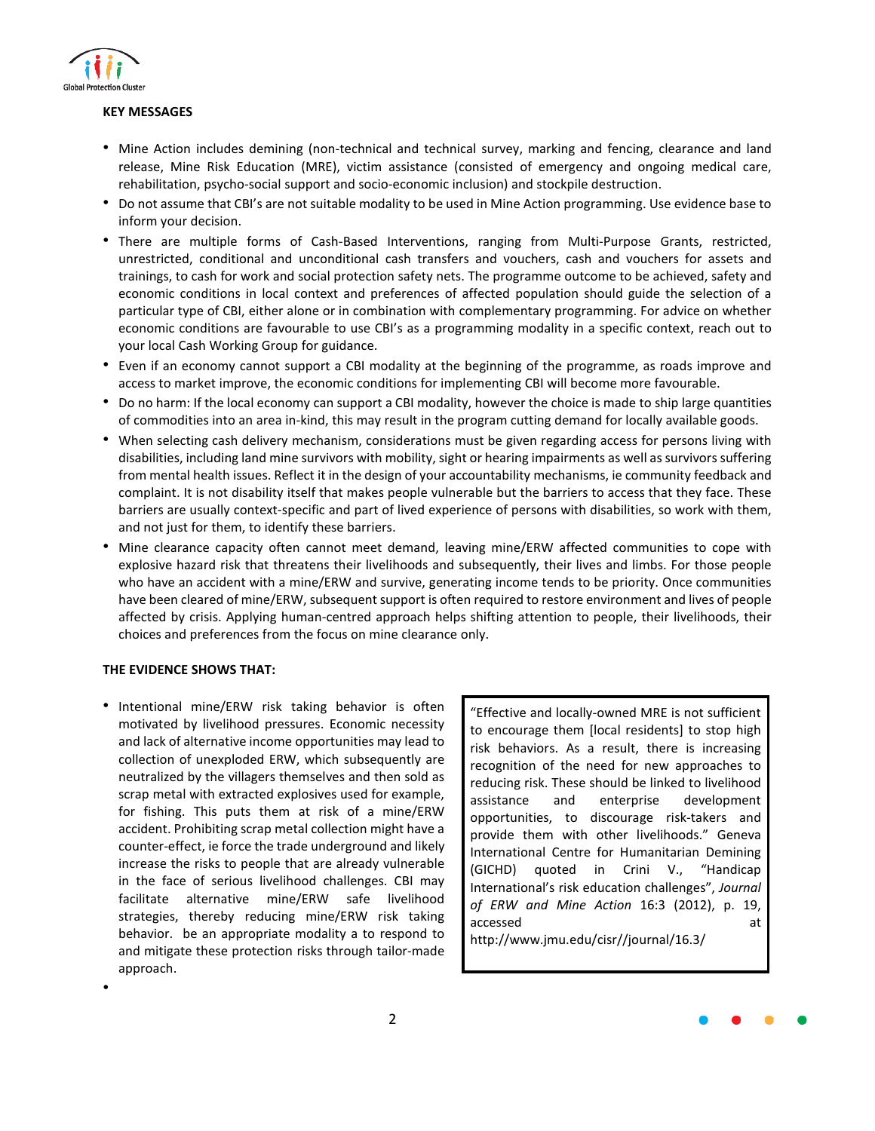

### **KEY MESSAGES**

- Mine Action includes demining (non-technical and technical survey, marking and fencing, clearance and land release, Mine Risk Education (MRE), victim assistance (consisted of emergency and ongoing medical care, rehabilitation, psycho-social support and socio-economic inclusion) and stockpile destruction.
- Do not assume that CBI's are not suitable modality to be used in Mine Action programming. Use evidence base to inform your decision.
- There are multiple forms of Cash-Based Interventions, ranging from Multi-Purpose Grants, restricted, unrestricted, conditional and unconditional cash transfers and vouchers, cash and vouchers for assets and trainings, to cash for work and social protection safety nets. The programme outcome to be achieved, safety and economic conditions in local context and preferences of affected population should guide the selection of a particular type of CBI, either alone or in combination with complementary programming. For advice on whether economic conditions are favourable to use CBI's as a programming modality in a specific context, reach out to your local Cash Working Group for guidance.
- Even if an economy cannot support a CBI modality at the beginning of the programme, as roads improve and access to market improve, the economic conditions for implementing CBI will become more favourable.
- Do no harm: If the local economy can support a CBI modality, however the choice is made to ship large quantities of commodities into an area in-kind, this may result in the program cutting demand for locally available goods.
- When selecting cash delivery mechanism, considerations must be given regarding access for persons living with disabilities, including land mine survivors with mobility, sight or hearing impairments as well as survivors suffering from mental health issues. Reflect it in the design of your accountability mechanisms, ie community feedback and complaint. It is not disability itself that makes people vulnerable but the barriers to access that they face. These barriers are usually context-specific and part of lived experience of persons with disabilities, so work with them, and not just for them, to identify these barriers.
- Mine clearance capacity often cannot meet demand, leaving mine/ERW affected communities to cope with explosive hazard risk that threatens their livelihoods and subsequently, their lives and limbs. For those people who have an accident with a mine/ERW and survive, generating income tends to be priority. Once communities have been cleared of mine/ERW, subsequent support is often required to restore environment and lives of people affected by crisis. Applying human-centred approach helps shifting attention to people, their livelihoods, their choices and preferences from the focus on mine clearance only.

## **THE EVIDENCE SHOWS THAT:**

•

• Intentional mine/ERW risk taking behavior is often motivated by livelihood pressures. Economic necessity and lack of alternative income opportunities may lead to collection of unexploded ERW, which subsequently are neutralized by the villagers themselves and then sold as scrap metal with extracted explosives used for example, for fishing. This puts them at risk of a mine/ERW accident. Prohibiting scrap metal collection might have a counter-effect, ie force the trade underground and likely increase the risks to people that are already vulnerable in the face of serious livelihood challenges. CBI may facilitate alternative mine/ERW safe livelihood strategies, thereby reducing mine/ERW risk taking behavior. be an appropriate modality a to respond to and mitigate these protection risks through tailor-made approach.

"Effective and locally-owned MRE is not sufficient to encourage them [local residents] to stop high risk behaviors. As a result, there is increasing recognition of the need for new approaches to reducing risk. These should be linked to livelihood assistance and enterprise development opportunities, to discourage risk-takers and provide them with other livelihoods." Geneva International Centre for Humanitarian Demining (GICHD) quoted in Crini V., "Handicap International's risk education challenges", *Journal of ERW and Mine Action* 16:3 (2012), p. 19, accessed at

http://www.jmu.edu/cisr//journal/16.3/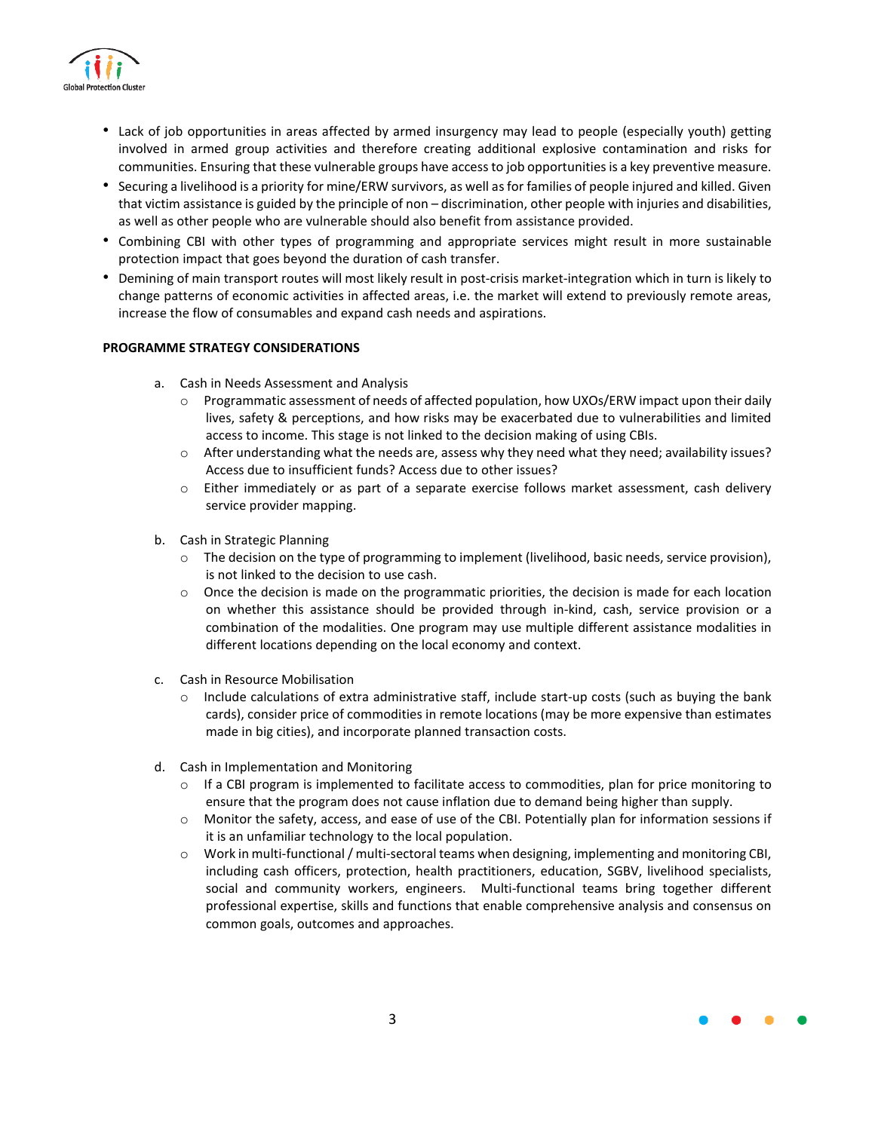

- Lack of job opportunities in areas affected by armed insurgency may lead to people (especially youth) getting involved in armed group activities and therefore creating additional explosive contamination and risks for communities. Ensuring that these vulnerable groups have accessto job opportunitiesis a key preventive measure.
- Securing a livelihood is a priority for mine/ERW survivors, as well asfor families of people injured and killed. Given that victim assistance is guided by the principle of non – discrimination, other people with injuries and disabilities, as well as other people who are vulnerable should also benefit from assistance provided.
- Combining CBI with other types of programming and appropriate services might result in more sustainable protection impact that goes beyond the duration of cash transfer.
- Demining of main transport routes will most likely result in post-crisis market-integration which in turn is likely to change patterns of economic activities in affected areas, i.e. the market will extend to previously remote areas, increase the flow of consumables and expand cash needs and aspirations.

# **PROGRAMME STRATEGY CONSIDERATIONS**

- a. Cash in Needs Assessment and Analysis
	- $\circ$  Programmatic assessment of needs of affected population, how UXOs/ERW impact upon their daily lives, safety & perceptions, and how risks may be exacerbated due to vulnerabilities and limited access to income. This stage is not linked to the decision making of using CBIs.
	- o After understanding what the needs are, assess why they need what they need; availability issues? Access due to insufficient funds? Access due to other issues?
	- o Either immediately or as part of a separate exercise follows market assessment, cash delivery service provider mapping.
- b. Cash in Strategic Planning
	- o The decision on the type of programming to implement (livelihood, basic needs, service provision), is not linked to the decision to use cash.
	- $\circ$  Once the decision is made on the programmatic priorities, the decision is made for each location on whether this assistance should be provided through in-kind, cash, service provision or a combination of the modalities. One program may use multiple different assistance modalities in different locations depending on the local economy and context.
- c. Cash in Resource Mobilisation
	- $\circ$  Include calculations of extra administrative staff, include start-up costs (such as buying the bank cards), consider price of commodities in remote locations (may be more expensive than estimates made in big cities), and incorporate planned transaction costs.
- d. Cash in Implementation and Monitoring
	- $\circ$  If a CBI program is implemented to facilitate access to commodities, plan for price monitoring to ensure that the program does not cause inflation due to demand being higher than supply.
	- o Monitor the safety, access, and ease of use of the CBI. Potentially plan for information sessions if it is an unfamiliar technology to the local population.
	- o Work in multi-functional/ multi-sectoral teams when designing, implementing and monitoring CBI, including cash officers, protection, health practitioners, education, SGBV, livelihood specialists, social and community workers, engineers. Multi-functional teams bring together different professional expertise, skills and functions that enable comprehensive analysis and consensus on common goals, outcomes and approaches.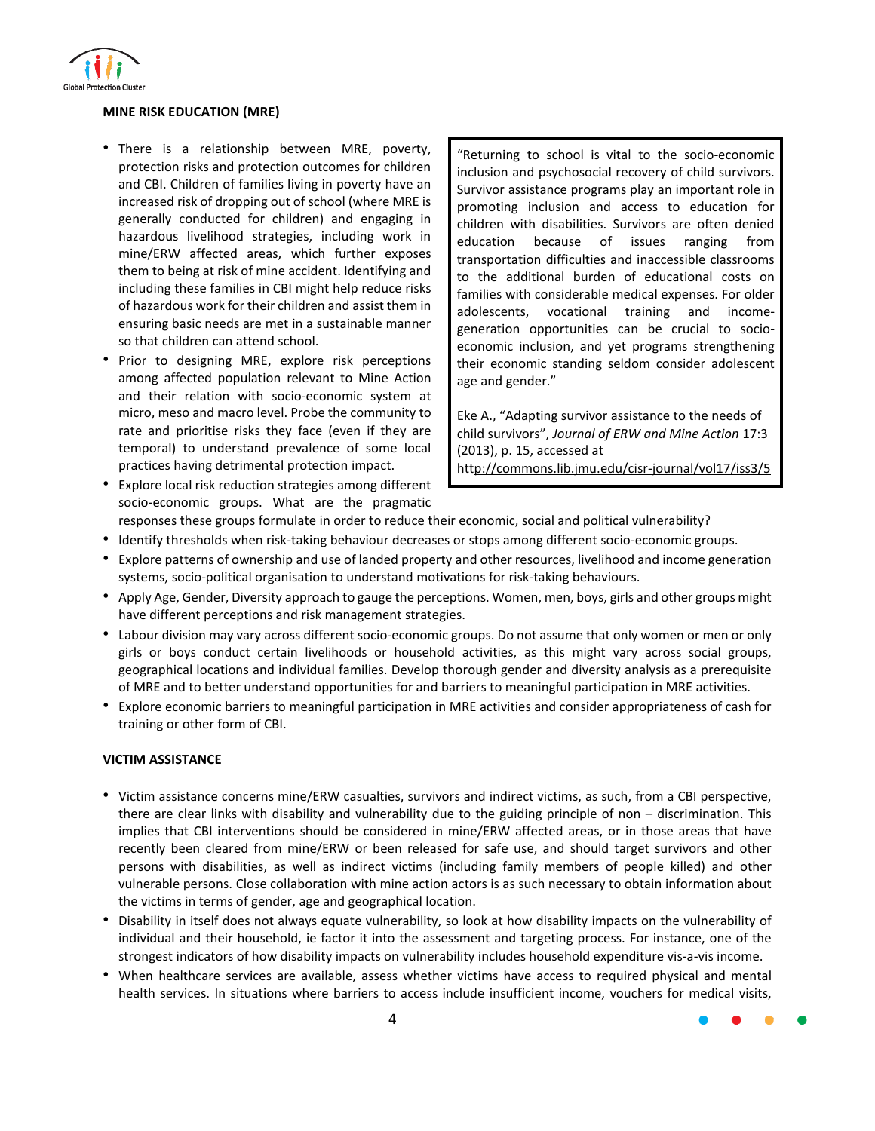

## **MINE RISK EDUCATION (MRE)**

- There is a relationship between MRE, poverty, protection risks and protection outcomes for children and CBI. Children of families living in poverty have an increased risk of dropping out of school (where MRE is generally conducted for children) and engaging in hazardous livelihood strategies, including work in mine/ERW affected areas, which further exposes them to being at risk of mine accident. Identifying and including these families in CBI might help reduce risks of hazardous work for their children and assist them in ensuring basic needs are met in a sustainable manner so that children can attend school.
- Prior to designing MRE, explore risk perceptions among affected population relevant to Mine Action and their relation with socio-economic system at micro, meso and macro level. Probe the community to rate and prioritise risks they face (even if they are temporal) to understand prevalence of some local practices having detrimental protection impact.

"Returning to school is vital to the socio-economic inclusion and psychosocial recovery of child survivors. Survivor assistance programs play an important role in promoting inclusion and access to education for children with disabilities. Survivors are often denied education because of issues ranging from transportation difficulties and inaccessible classrooms to the additional burden of educational costs on families with considerable medical expenses. For older adolescents, vocational training and incomegeneration opportunities can be crucial to socioeconomic inclusion, and yet programs strengthening their economic standing seldom consider adolescent age and gender."

Eke A., "Adapting survivor assistance to the needs of child survivors", *Journal of ERW and Mine Action* 17:3 (2013), p. 15, accessed at http://commons.lib.jmu.edu/cisr-journal/vol17/iss3/5

- Explore local risk reduction strategies among different socio-economic groups. What are the pragmatic
- responses these groups formulate in order to reduce their economic, social and political vulnerability?
- Identify thresholds when risk-taking behaviour decreases or stops among different socio-economic groups.
- Explore patterns of ownership and use of landed property and other resources, livelihood and income generation systems, socio-political organisation to understand motivations for risk-taking behaviours.
- Apply Age, Gender, Diversity approach to gauge the perceptions. Women, men, boys, girls and other groups might have different perceptions and risk management strategies.
- Labour division may vary across different socio-economic groups. Do not assume that only women or men or only girls or boys conduct certain livelihoods or household activities, as this might vary across social groups, geographical locations and individual families. Develop thorough gender and diversity analysis as a prerequisite of MRE and to better understand opportunities for and barriers to meaningful participation in MRE activities.
- Explore economic barriers to meaningful participation in MRE activities and consider appropriateness of cash for training or other form of CBI.

## **VICTIM ASSISTANCE**

- Victim assistance concerns mine/ERW casualties, survivors and indirect victims, as such, from a CBI perspective, there are clear links with disability and vulnerability due to the guiding principle of non – discrimination. This implies that CBI interventions should be considered in mine/ERW affected areas, or in those areas that have recently been cleared from mine/ERW or been released for safe use, and should target survivors and other persons with disabilities, as well as indirect victims (including family members of people killed) and other vulnerable persons. Close collaboration with mine action actors is as such necessary to obtain information about the victims in terms of gender, age and geographical location.
- Disability in itself does not always equate vulnerability, so look at how disability impacts on the vulnerability of individual and their household, ie factor it into the assessment and targeting process. For instance, one of the strongest indicators of how disability impacts on vulnerability includes household expenditure vis-a-vis income.
- When healthcare services are available, assess whether victims have access to required physical and mental health services. In situations where barriers to access include insufficient income, vouchers for medical visits,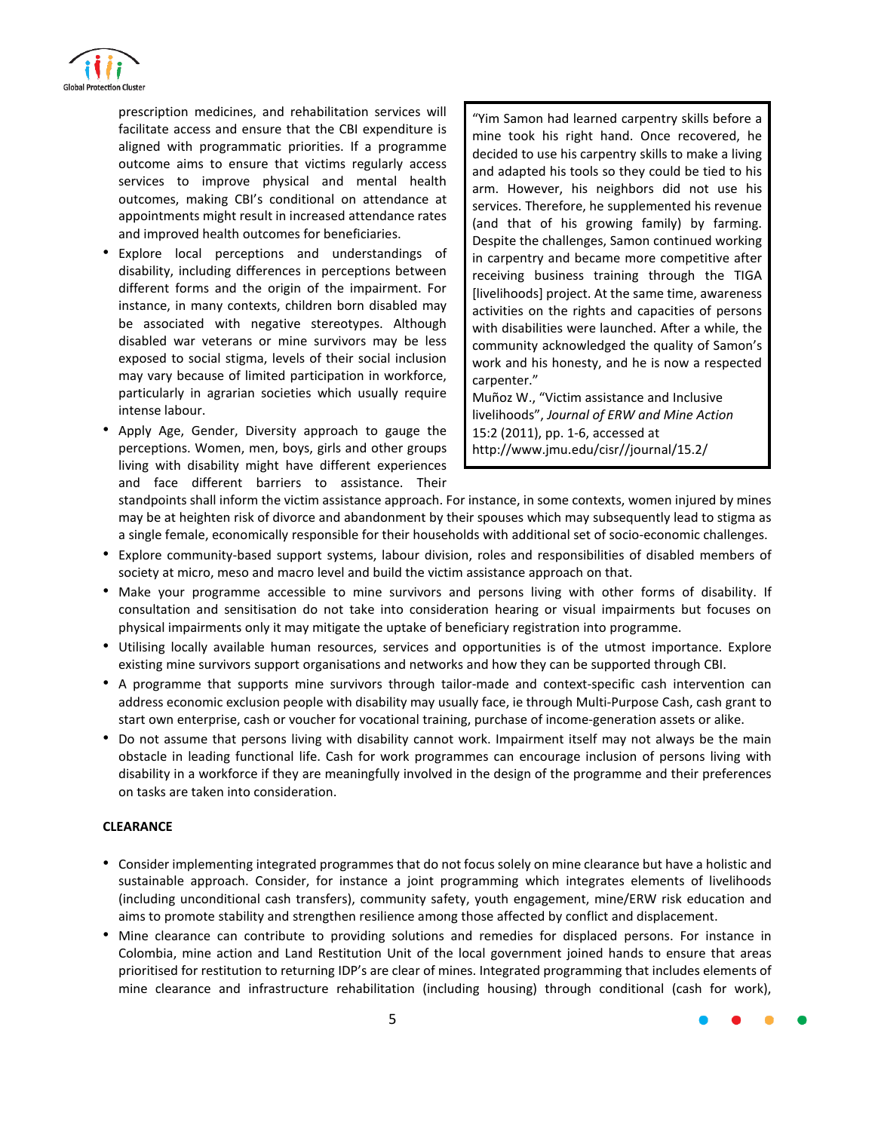

prescription medicines, and rehabilitation services will facilitate access and ensure that the CBI expenditure is aligned with programmatic priorities. If a programme outcome aims to ensure that victims regularly access services to improve physical and mental health outcomes, making CBI's conditional on attendance at appointments might result in increased attendance rates and improved health outcomes for beneficiaries.

- Explore local perceptions and understandings of disability, including differences in perceptions between different forms and the origin of the impairment. For instance, in many contexts, children born disabled may be associated with negative stereotypes. Although disabled war veterans or mine survivors may be less exposed to social stigma, levels of their social inclusion may vary because of limited participation in workforce, particularly in agrarian societies which usually require intense labour.
- Apply Age, Gender, Diversity approach to gauge the perceptions. Women, men, boys, girls and other groups living with disability might have different experiences and face different barriers to assistance. Their

"Yim Samon had learned carpentry skills before a mine took his right hand. Once recovered, he decided to use his carpentry skills to make a living and adapted his tools so they could be tied to his arm. However, his neighbors did not use his services. Therefore, he supplemented his revenue (and that of his growing family) by farming. Despite the challenges, Samon continued working in carpentry and became more competitive after receiving business training through the TIGA [livelihoods] project. At the same time, awareness activities on the rights and capacities of persons with disabilities were launched. After a while, the community acknowledged the quality of Samon's work and his honesty, and he is now a respected carpenter."

Muñoz W., "Victim assistance and Inclusive livelihoods", *Journal of ERW and Mine Action* 15:2 (2011), pp. 1-6, accessed at [http://www.jmu.edu/cisr//journal/15.2/](http://www.jmu.edu/cisr/journal/15.2/)

standpoints shall inform the victim assistance approach. For instance, in some contexts, women injured by mines may be at heighten risk of divorce and abandonment by their spouses which may subsequently lead to stigma as a single female, economically responsible for their households with additional set of socio-economic challenges.

- Explore community-based support systems, labour division, roles and responsibilities of disabled members of society at micro, meso and macro level and build the victim assistance approach on that.
- Make your programme accessible to mine survivors and persons living with other forms of disability. If consultation and sensitisation do not take into consideration hearing or visual impairments but focuses on physical impairments only it may mitigate the uptake of beneficiary registration into programme.
- Utilising locally available human resources, services and opportunities is of the utmost importance. Explore existing mine survivors support organisations and networks and how they can be supported through CBI.
- A programme that supports mine survivors through tailor-made and context-specific cash intervention can address economic exclusion people with disability may usually face, ie through Multi-Purpose Cash, cash grant to start own enterprise, cash or voucher for vocational training, purchase of income-generation assets or alike.
- Do not assume that persons living with disability cannot work. Impairment itself may not always be the main obstacle in leading functional life. Cash for work programmes can encourage inclusion of persons living with disability in a workforce if they are meaningfully involved in the design of the programme and their preferences on tasks are taken into consideration.

## **CLEARANCE**

- Consider implementing integrated programmes that do not focus solely on mine clearance but have a holistic and sustainable approach. Consider, for instance a joint programming which integrates elements of livelihoods (including unconditional cash transfers), community safety, youth engagement, mine/ERW risk education and aims to promote stability and strengthen resilience among those affected by conflict and displacement.
- Mine clearance can contribute to providing solutions and remedies for displaced persons. For instance in Colombia, mine action and Land Restitution Unit of the local government joined hands to ensure that areas prioritised for restitution to returning IDP's are clear of mines. Integrated programming that includes elements of mine clearance and infrastructure rehabilitation (including housing) through conditional (cash for work),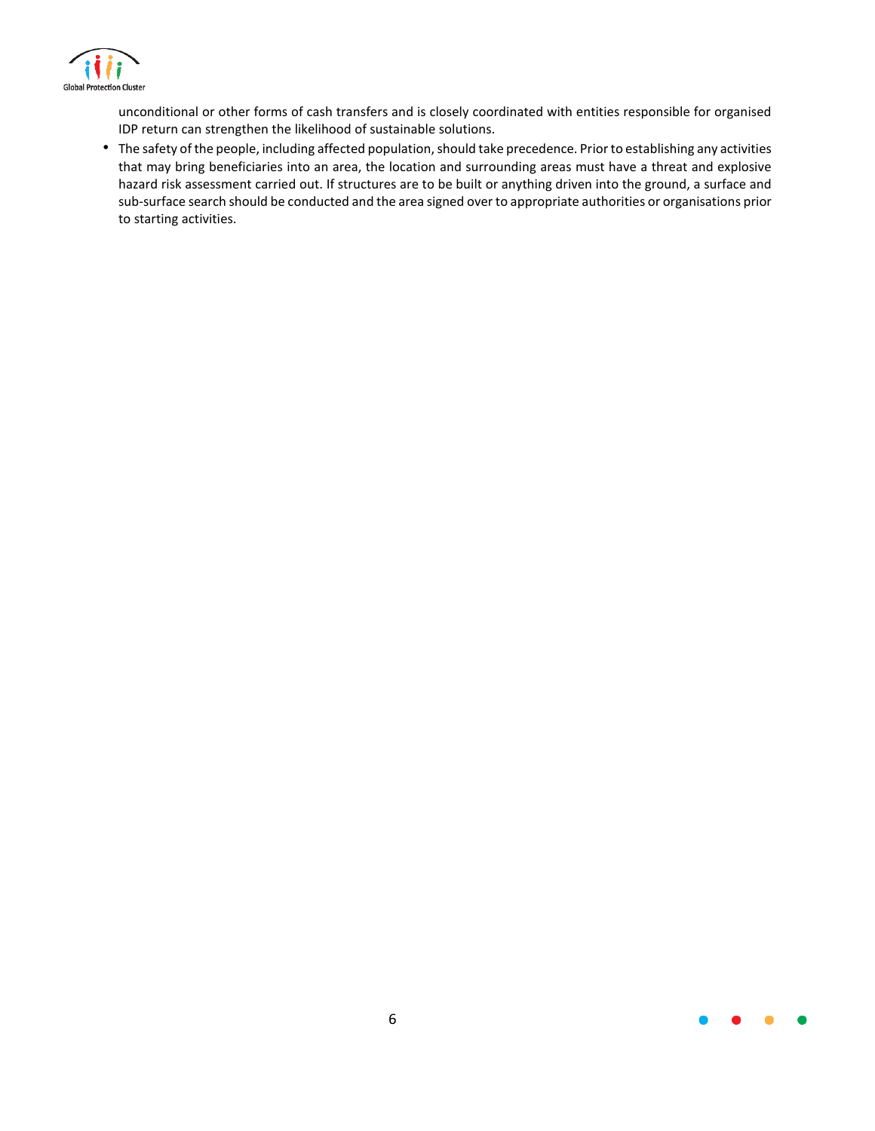

unconditional or other forms of cash transfers and is closely coordinated with entities responsible for organised IDP return can strengthen the likelihood of sustainable solutions.

• The safety of the people, including affected population, should take precedence. Prior to establishing any activities that may bring beneficiaries into an area, the location and surrounding areas must have a threat and explosive hazard risk assessment carried out. If structures are to be built or anything driven into the ground, a surface and sub-surface search should be conducted and the area signed over to appropriate authorities or organisations prior to starting activities.